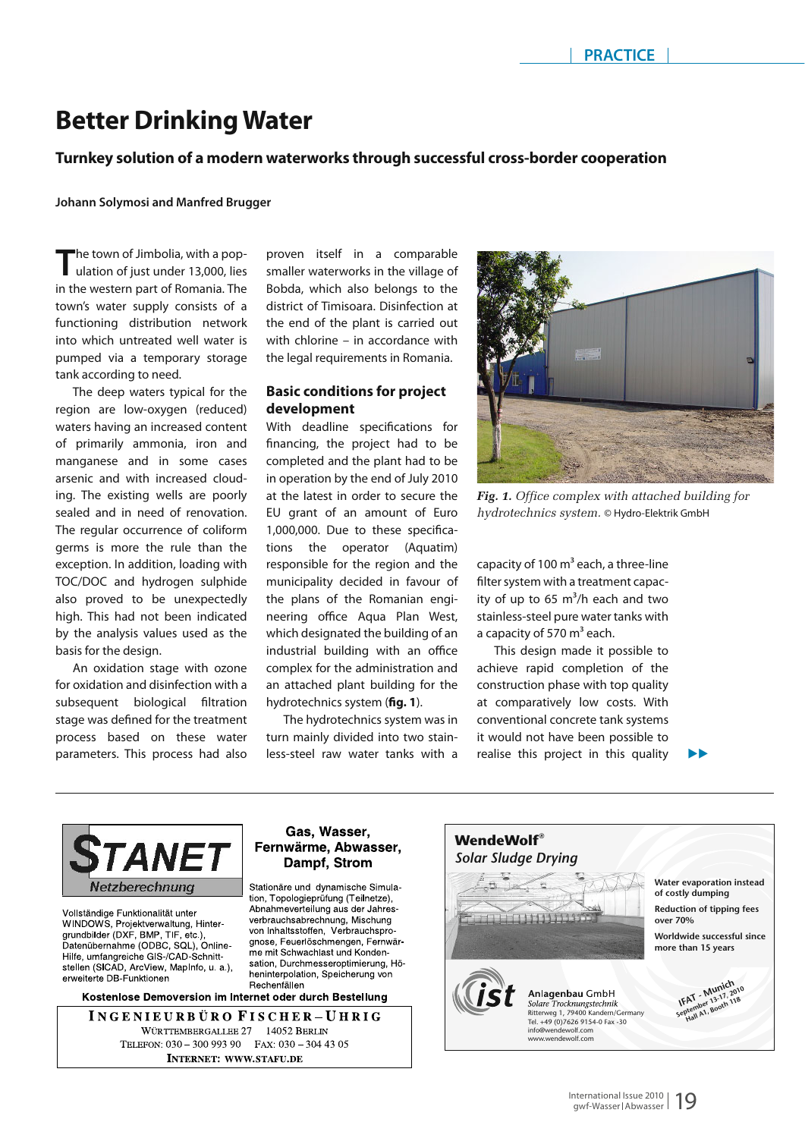# **Better Drinking Water**

# **Turnkey solution of a modern waterworks through successful cross-border cooperation**

**Johann Solymosi and Manfred Brugger**

**The town of Jimbolia, with a pop-**<br>ulation of just under 13,000, lies in the western part of Romania. The town's water supply consists of a functioning distribution network into which untreated well water is pumped via a temporary storage tank according to need.

The deep waters typical for the region are low-oxygen (reduced) waters having an increased content of primarily ammonia, iron and manganese and in some cases arsenic and with increased clouding. The existing wells are poorly sealed and in need of renovation. The regular occurrence of coliform germs is more the rule than the exception. In addition, loading with TOC/DOC and hydrogen sulphide also proved to be unexpectedly high. This had not been indicated by the analysis values used as the basis for the design.

An oxidation stage with ozone for oxidation and disinfection with a subsequent biological filtration stage was defined for the treatment process based on these water parameters. This process had also

proven itself in a comparable smaller waterworks in the village of Bobda, which also belongs to the district of Timisoara. Disinfection at the end of the plant is carried out with chlorine – in accordance with the legal requirements in Romania.

# **Basic conditions for project development**

With deadline specifications for financing, the project had to be completed and the plant had to be in operation by the end of July 2010 at the latest in order to secure the EU grant of an amount of Euro 1,000,000. Due to these specifications the operator (Aquatim) responsible for the region and the municipality decided in favour of the plans of the Romanian engineering office Aqua Plan West, which designated the building of an industrial building with an office complex for the administration and an attached plant building for the hydrotechnics system (fig. 1).

The hydrotechnics system was in turn mainly divided into two stainless-steel raw water tanks with a

Gas, Wasser,

Dampf, Strom

tion, Topologieprüfung (Teilnetze), Abnahmeverteilung aus der Jahres-

verbrauchsabrechnung, Mischung

von Inhaltsstoffen Verbrauchspro-

me mit Schwachlast und Konden-

heninterpolation, Speicherung von



*Fig. 1. Office complex with attached building for hydrotechnics system.* © Hydro-Elektrik GmbH

 $\blacktriangleright$  $\blacktriangleright$ 

capacity of 100  $m<sup>3</sup>$  each, a three-line filter system with a treatment capacity of up to 65  $m^3/h$  each and two stainless-steel pure water tanks with a capacity of 570  $m<sup>3</sup>$  each.

This design made it possible to achieve rapid completion of the construction phase with top quality at comparatively low costs. With conventional concrete tank systems it would not have been possible to realise this project in this quality



Vollständige Funktionalität unter WINDOWS, Projektverwaltung, Hintergrundbilder (DXF, BMP, TIF, etc.),<br>Datenübernahme (ODBC, SQL), Online-Hilfe, umfangreiche GIS-/CAD-Schnittstellen (SICAD, ArcView, MapInfo, u. a.), erweiterte DB-Funktioner

Kostenlose Demoversion im Internet oder durch Bestellung

Rechenfällen

INGENIEURBÜRO FISCHER-UHRIG WÜRTTEMBERGALLEE 27 14052 BERLIN TELEFON: 030 - 300 993 90 FAX: 030 - 304 43 05 **INTERNET: WWW.STAFU.DE** 

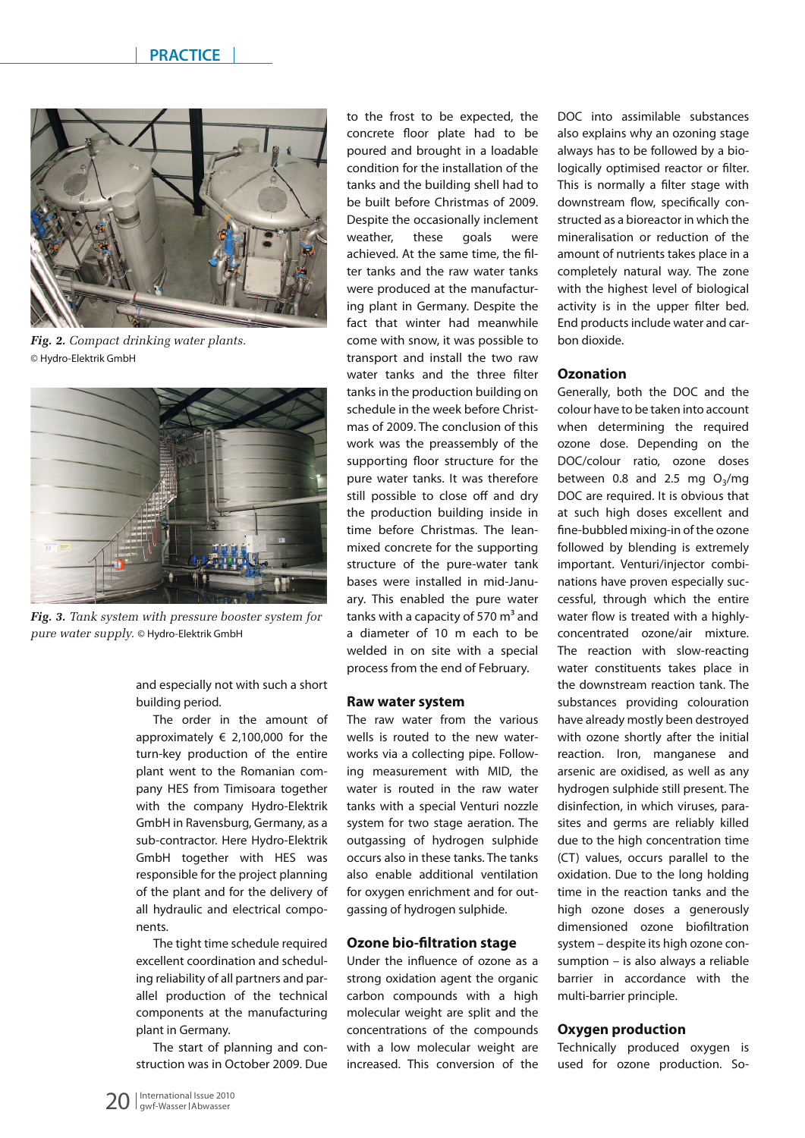

*Fig. 2. Compact drinking water plants.*  © Hydro-Elektrik GmbH



*Fig. 3. Tank system with pressure booster system for pure water supply.* © Hydro-Elektrik GmbH

and especially not with such a short building period.

The order in the amount of approximately  $\epsilon$  2,100,000 for the turn-key production of the entire plant went to the Romanian company HES from Timisoara together with the company Hydro-Elektrik GmbH in Ravensburg, Germany, as a sub-contractor. Here Hydro-Elektrik GmbH together with HES was responsible for the project planning of the plant and for the delivery of all hydraulic and electrical components.

The tight time schedule required excellent coordination and scheduling reliability of all partners and parallel production of the technical components at the manufacturing plant in Germany.

The start of planning and construction was in October 2009. Due to the frost to be expected, the concrete floor plate had to be poured and brought in a loadable condition for the installation of the tanks and the building shell had to be built before Christmas of 2009. Despite the occasionally inclement weather, these goals were achieved. At the same time, the filter tanks and the raw water tanks were produced at the manufacturing plant in Germany. Despite the fact that winter had meanwhile come with snow, it was possible to transport and install the two raw water tanks and the three filter tanks in the production building on schedule in the week before Christmas of 2009. The conclusion of this work was the preassembly of the supporting floor structure for the pure water tanks. It was therefore still possible to close off and dry the production building inside in time before Christmas. The leanmixed concrete for the supporting structure of the pure-water tank bases were installed in mid-January. This enabled the pure water tanks with a capacity of 570  $m<sup>3</sup>$  and a diameter of 10 m each to be welded in on site with a special process from the end of February.

### **Raw water system**

The raw water from the various wells is routed to the new waterworks via a collecting pipe. Following measurement with MID, the water is routed in the raw water tanks with a special Venturi nozzle system for two stage aeration. The outgassing of hydrogen sulphide occurs also in these tanks. The tanks also enable additional ventilation for oxygen enrichment and for outgassing of hydrogen sulphide.

#### **Ozone bio-filtration stage**

Under the influence of ozone as a strong oxidation agent the organic carbon compounds with a high molecular weight are split and the concentrations of the compounds with a low molecular weight are increased. This conversion of the DOC into assimilable substances also explains why an ozoning stage always has to be followed by a biologically optimised reactor or filter. This is normally a filter stage with downstream flow, specifically constructed as a bioreactor in which the mineralisation or reduction of the amount of nutrients takes place in a completely natural way. The zone with the highest level of biological activity is in the upper filter bed. End productsinclude water and carbon dioxide.

#### **Ozonation**

Generally, both the DOC and the colour have to be taken into account when determining the required ozone dose. Depending on the DOC/colour ratio, ozone doses between 0.8 and 2.5 mg  $O<sub>3</sub>/mg$ DOC are required. It is obvious that at such high doses excellent and fine-bubbled mixing-in of the ozone followed by blending is extremely important. Venturi/injector combinations have proven especially successful, through which the entire water flow is treated with a highlyconcentrated ozone/air mixture. The reaction with slow-reacting water constituents takes place in the downstream reaction tank. The substances providing colouration have already mostly been destroyed with ozone shortly after the initial reaction. Iron, manganese and arsenic are oxidised, as well as any hydrogen sulphide still present. The disinfection, in which viruses, parasites and germs are reliably killed due to the high concentration time (CT) values, occurs parallel to the oxidation. Due to the long holding time in the reaction tanks and the high ozone doses a generously dimensioned ozone biofiltration system – despite its high ozone consumption – is also always a reliable barrier in accordance with the multi-barrier principle.

#### **Oxygen production**

Technically produced oxygen is used for ozone production. So